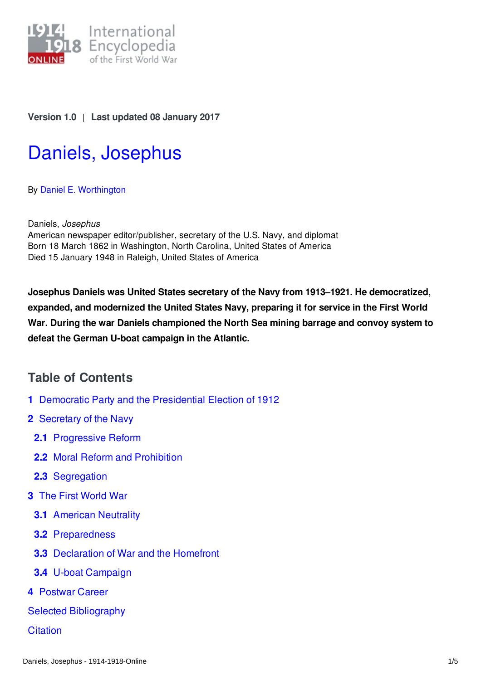

## **Version 1.0** | **Last updated 08 January 2017**

# Daniels, [Josephus](http://encyclopedia.1914-1918-online.net/article/daniels_josephus)

By Daniel E. [Worthington](http://encyclopedia.1914-1918-online.net/contributors/Daniel_E._Worthington)

Daniels, *Josephus* American newspaper editor/publisher, secretary of the U.S. Navy, and diplomat Born 18 March 1862 in Washington, North Carolina, United States of America Died 15 January 1948 in Raleigh, United States of America

**Josephus Daniels was United States secretary of the Navy from 1913–1921. He democratized, expanded, and modernized the United States Navy, preparing it for service in the First World War. During the war Daniels championed the North Sea mining barrage and convoy system to defeat the German U-boat campaign in the Atlantic.**

# **Table of Contents**

- **1** Democratic Party and the [Presidential](#page-1-0) Election of 1912
- **2** [Secretary](#page-1-1) of the Navy
	- **2.1** [Progressive](#page-1-2) Reform
	- **2.2** Moral Reform and [Prohibition](#page-1-3)
	- **2.3** [Segregation](#page-1-4)
- **3** The First [World](#page-1-5) War
	- **3.1** [American](#page-1-6) Neutrality
	- **3.2** [Preparedness](#page-2-0)
	- **3.3** [Declaration](#page-2-1) of War and the Homefront
	- **3.4** U-boat [Campaign](#page-2-2)
- **4** [Postwar](#page-3-0) Career
- Selected [Bibliography](#page-3-1)
- **[Citation](#page-3-2)**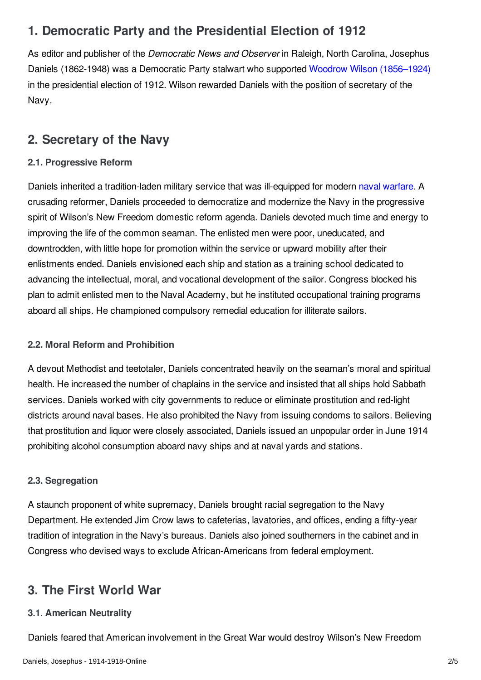# <span id="page-1-0"></span>**1. Democratic Party and the Presidential Election of 1912**

As editor and publisher of the *Democratic News and Observer* in Raleigh, North Carolina, Josephus Daniels (1862-1948) was a Democratic Party stalwart who supported Woodrow Wilson [\(1856–1924\)](/index/names/118643401) in the presidential election of 1912. Wilson rewarded Daniels with the position of secretary of the Navy.

# <span id="page-1-1"></span>**2. Secretary of the Navy**

## <span id="page-1-2"></span>**2.1. Progressive Reform**

Daniels inherited a tradition-laden military service that was ill-equipped for modern naval [warfare](/article/naval_warfare_usa). A crusading reformer, Daniels proceeded to democratize and modernize the Navy in the progressive spirit of Wilson's New Freedom domestic reform agenda. Daniels devoted much time and energy to improving the life of the common seaman. The enlisted men were poor, uneducated, and downtrodden, with little hope for promotion within the service or upward mobility after their enlistments ended. Daniels envisioned each ship and station as a training school dedicated to advancing the intellectual, moral, and vocational development of the sailor. Congress blocked his plan to admit enlisted men to the Naval Academy, but he instituted occupational training programs aboard all ships. He championed compulsory remedial education for illiterate sailors.

## <span id="page-1-3"></span>**2.2. Moral Reform and Prohibition**

A devout Methodist and teetotaler, Daniels concentrated heavily on the seaman's moral and spiritual health. He increased the number of chaplains in the service and insisted that all ships hold Sabbath services. Daniels worked with city governments to reduce or eliminate prostitution and red-light districts around naval bases. He also prohibited the Navy from issuing condoms to sailors. Believing that prostitution and liquor were closely associated, Daniels issued an unpopular order in June 1914 prohibiting alcohol consumption aboard navy ships and at naval yards and stations.

## <span id="page-1-4"></span>**2.3. Segregation**

A staunch proponent of white supremacy, Daniels brought racial segregation to the Navy Department. He extended Jim Crow laws to cafeterias, lavatories, and offices, ending a fifty-year tradition of integration in the Navy's bureaus. Daniels also joined southerners in the cabinet and in Congress who devised ways to exclude African-Americans from federal employment.

# <span id="page-1-5"></span>**3. The First World War**

## <span id="page-1-6"></span>**3.1. American Neutrality**

Daniels feared that American involvement in the Great War would destroy Wilson's New Freedom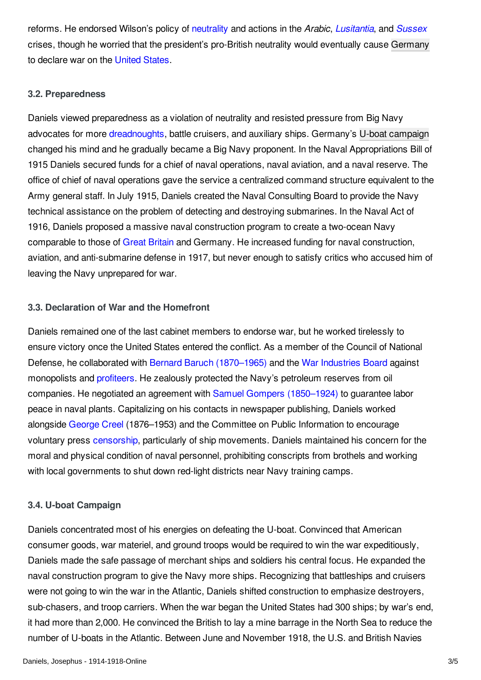reforms. He endorsed Wilson's policy of [neutrality](/article/neutrality) and actions in the *Arabic*, *[Lusitantia](/article/lusitania_sinking_of)*, and *[Sussex](/article/sussex_pledge)* crises, though he worried that the president's pro-British neutrality would eventually cause [Germany](/article/germany) to declare war on the [United](/article/united_states_of_america) States.

#### <span id="page-2-0"></span>**3.2. Preparedness**

Daniels viewed preparedness as a violation of neutrality and resisted pressure from Big Navy advocates for more [dreadnoughts](/article/dreadnought_hms), battle cruisers, and auxiliary ships. Germany's U-boat [campaign](/article/submarines_and_submarine_warfare) changed his mind and he gradually became a Big Navy proponent. In the Naval Appropriations Bill of 1915 Daniels secured funds for a chief of naval operations, naval aviation, and a naval reserve. The office of chief of naval operations gave the service a centralized command structure equivalent to the Army general staff. In July 1915, Daniels created the Naval Consulting Board to provide the Navy technical assistance on the problem of detecting and destroying submarines. In the Naval Act of 1916, Daniels proposed a massive naval construction program to create a two-ocean Navy comparable to those of Great [Britain](/article/great_britain) and Germany. He increased funding for naval construction, aviation, and anti-submarine defense in 1917, but never enough to satisfy critics who accused him of leaving the Navy unprepared for war.

#### <span id="page-2-1"></span>**3.3. Declaration of War and the Homefront**

Daniels remained one of the last cabinet members to endorse war, but he worked tirelessly to ensure victory once the United States entered the conflict. As a member of the Council of National Defense, he collaborated with Bernard Baruch [\(1870–1965\)](/index/names/118652958) and the War [Industries](/article/war_industries_board) Board against monopolists and [profiteers](/article/war_profiteers). He zealously protected the Navy's petroleum reserves from oil companies. He negotiated an agreement with Samuel Gompers [\(1850–1924\)](/index/names/118718088) to guarantee labor peace in naval plants. Capitalizing on his contacts in newspaper publishing, Daniels worked alongside [George](/index/names/124374980) Creel (1876–1953) and the Committee on Public Information to encourage voluntary press [censorship](/article/censorship), particularly of ship movements. Daniels maintained his concern for the moral and physical condition of naval personnel, prohibiting conscripts from brothels and working with local governments to shut down red-light districts near Navy training camps.

#### <span id="page-2-2"></span>**3.4. U-boat Campaign**

Daniels concentrated most of his energies on defeating the U-boat. Convinced that American consumer goods, war materiel, and ground troops would be required to win the war expeditiously, Daniels made the safe passage of merchant ships and soldiers his central focus. He expanded the naval construction program to give the Navy more ships. Recognizing that battleships and cruisers were not going to win the war in the Atlantic, Daniels shifted construction to emphasize destroyers, sub-chasers, and troop carriers. When the war began the United States had 300 ships; by war's end, it had more than 2,000. He convinced the British to lay a mine barrage in the North Sea to reduce the number of U-boats in the Atlantic. Between June and November 1918, the U.S. and British Navies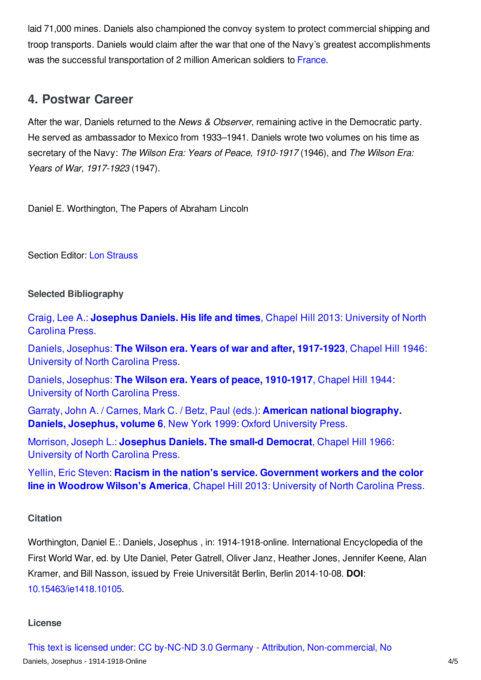laid 71,000 mines. Daniels also championed the convoy system to protect commercial shipping and troop transports. Daniels would claim after the war that one of the Navy's greatest accomplishments was the successful transportation of 2 million American soldiers to [France](/article/france).

# <span id="page-3-0"></span>**4. Postwar Career**

After the war, Daniels returned to the *News & Observer*, remaining active in the Democratic party. He served as ambassador to Mexico from 1933–1941. Daniels wrote two volumes on his time as secretary of the Navy: *The Wilson Era: Years of Peace, 1910-1917* (1946), and *The Wilson Era: Years of War, 1917-1923* (1947).

Daniel E. Worthington, The Papers of Abraham Lincoln

#### Section Editor: Lon [Strauss](http://encyclopedia.1914-1918-online.net/contributors/Lon_Strauss)

#### <span id="page-3-1"></span>**Selected Bibliography**

Craig, Lee A.: **[Josephus](http://encyclopedia.1914-1918-online.net/bibliography/5C5WMD26) Daniels. His life and times**, Chapel Hill 2013: University of North Carolina Press.

Daniels, Josephus: **The Wilson era. Years of war and after, [1917-1923](http://encyclopedia.1914-1918-online.net/bibliography/2WKPJ7KF)**, Chapel Hill 1946: University of North Carolina Press.

Daniels, Josephus: **The Wilson era. Years of peace, [1910-1917](http://encyclopedia.1914-1918-online.net/bibliography/MMDZHBA9)**, Chapel Hill 1944: University of North Carolina Press.

Garraty, John A. / Carnes, Mark C. / Betz, Paul (eds.): **American national [biography.](http://encyclopedia.1914-1918-online.net/bibliography/XHSEKVKX) Daniels, Josephus, volume 6**, New York 1999: Oxford University Press.

Morrison, Joseph L.: **[Josephus](http://encyclopedia.1914-1918-online.net/bibliography/S86VJD5N) Daniels. The small-d Democrat**, Chapel Hill 1966: University of North Carolina Press.

Yellin, Eric Steven: **Racism in the nation's service. [Government](http://encyclopedia.1914-1918-online.net/bibliography/KMMUJ79P) workers and the color line in Woodrow Wilson's America**, Chapel Hill 2013: University of North Carolina Press.

## <span id="page-3-2"></span>**Citation**

Worthington, Daniel E.: Daniels, Josephus , in: 1914-1918-online. International Encyclopedia of the First World War, ed. by Ute Daniel, Peter Gatrell, Oliver Janz, Heather Jones, Jennifer Keene, Alan Kramer, and Bill Nasson, issued by Freie Universität Berlin, Berlin 2014-10-08. **DOI**: [10.15463/ie1418.10105](http://dx.doi.org/10.15463/ie1418.10105).

#### **License**